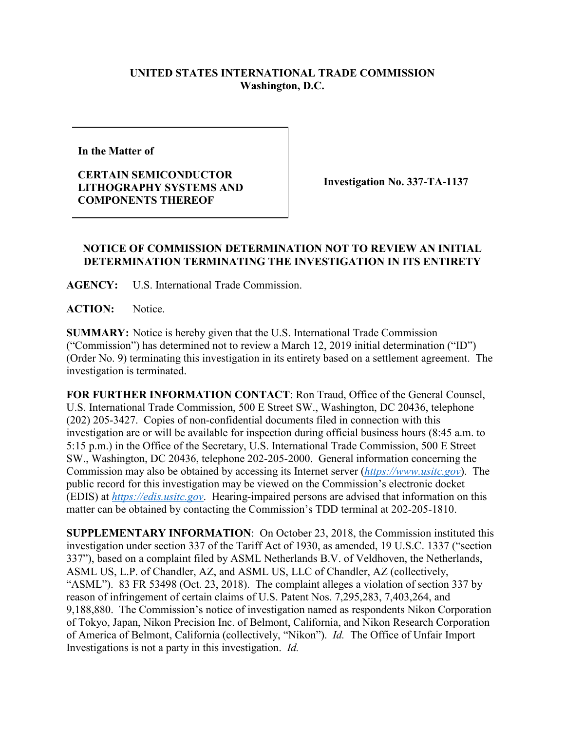## **UNITED STATES INTERNATIONAL TRADE COMMISSION Washington, D.C.**

**In the Matter of**

**CERTAIN SEMICONDUCTOR LITHOGRAPHY SYSTEMS AND COMPONENTS THEREOF**

**Investigation No. 337-TA-1137**

## **NOTICE OF COMMISSION DETERMINATION NOT TO REVIEW AN INITIAL DETERMINATION TERMINATING THE INVESTIGATION IN ITS ENTIRETY**

**AGENCY:** U.S. International Trade Commission.

ACTION: Notice.

**SUMMARY:** Notice is hereby given that the U.S. International Trade Commission ("Commission") has determined not to review a March 12, 2019 initial determination ("ID") (Order No. 9) terminating this investigation in its entirety based on a settlement agreement. The investigation is terminated.

**FOR FURTHER INFORMATION CONTACT**: Ron Traud, Office of the General Counsel, U.S. International Trade Commission, 500 E Street SW., Washington, DC 20436, telephone (202) 205-3427. Copies of non-confidential documents filed in connection with this investigation are or will be available for inspection during official business hours (8:45 a.m. to 5:15 p.m.) in the Office of the Secretary, U.S. International Trade Commission, 500 E Street SW., Washington, DC 20436, telephone 202-205-2000. General information concerning the Commission may also be obtained by accessing its Internet server (*[https://www.usitc.gov](https://www.usitc.gov/)*). The public record for this investigation may be viewed on the Commission's electronic docket (EDIS) at *[https://edis.usitc.gov](https://edis.usitc.gov/)*. Hearing-impaired persons are advised that information on this matter can be obtained by contacting the Commission's TDD terminal at 202-205-1810.

**SUPPLEMENTARY INFORMATION**: On October 23, 2018, the Commission instituted this investigation under section 337 of the Tariff Act of 1930, as amended, 19 U.S.C. 1337 ("section 337"), based on a complaint filed by ASML Netherlands B.V. of Veldhoven, the Netherlands, ASML US, L.P. of Chandler, AZ, and ASML US, LLC of Chandler, AZ (collectively, "ASML"). 83 FR 53498 (Oct. 23, 2018). The complaint alleges a violation of section 337 by reason of infringement of certain claims of U.S. Patent Nos. 7,295,283, 7,403,264, and 9,188,880. The Commission's notice of investigation named as respondents Nikon Corporation of Tokyo, Japan, Nikon Precision Inc. of Belmont, California, and Nikon Research Corporation of America of Belmont, California (collectively, "Nikon"). *Id.* The Office of Unfair Import Investigations is not a party in this investigation. *Id.*